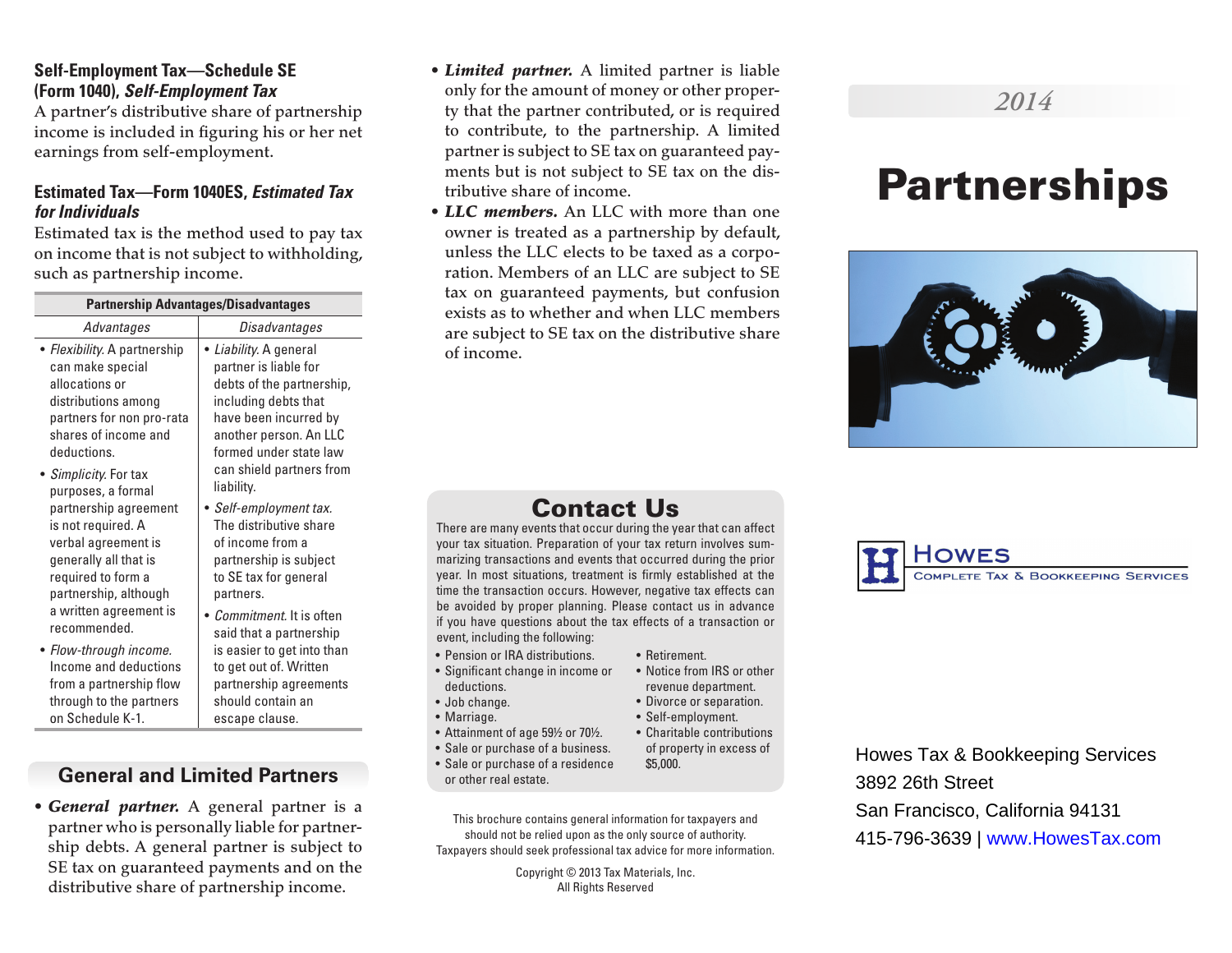### **Self-Employment Tax—Schedule SE (Form 1040),** *Self-Employment Tax*

A partner's distributive share of partnership income is included in figuring his or her net earnings from self-employment.

#### **Estimated Tax—Form 1040ES,** *Estimated Tax for Individuals*

Estimated tax is the method used to pay tax on income that is not subject to withholding, such as partnership income.

| <b>Partnership Advantages/Disadvantages</b>                                                                                                                                                                                                                                                                                                                |                                                                                                                                                                                                                             |
|------------------------------------------------------------------------------------------------------------------------------------------------------------------------------------------------------------------------------------------------------------------------------------------------------------------------------------------------------------|-----------------------------------------------------------------------------------------------------------------------------------------------------------------------------------------------------------------------------|
| Advantages                                                                                                                                                                                                                                                                                                                                                 | Disadvantages                                                                                                                                                                                                               |
| • Flexibility. A partnership<br>can make special<br>allocations or<br>distributions among<br>partners for non pro-rata<br>shares of income and<br>deductions.<br>• Simplicity. For tax<br>purposes, a formal<br>partnership agreement<br>is not required. A<br>verbal agreement is<br>generally all that is<br>required to form a<br>partnership, although | • Liability. A general<br>partner is liable for<br>debts of the partnership,<br>including debts that<br>have been incurred by<br>another person. An LLC<br>formed under state law<br>can shield partners from<br>liability. |
|                                                                                                                                                                                                                                                                                                                                                            | • Self-employment tax.<br>The distributive share<br>of income from a<br>partnership is subject<br>to SE tax for general<br>partners.                                                                                        |
| a written agreement is<br>recommended.<br>· Flow-through income.<br>Income and deductions<br>from a partnership flow<br>through to the partners<br>on Schedule K-1.                                                                                                                                                                                        | <i>Commitment.</i> It is often<br>said that a partnership<br>is easier to get into than<br>to get out of. Written<br>partnership agreements<br>should contain an<br>escape clause.                                          |

# **General and Limited Partners**

• *General partner.* A general partner is a partner who is personally liable for partnership debts. A general partner is subject to SE tax on guaranteed payments and on the distributive share of partnership income.

- *Limited partner.* A limited partner is liable only for the amount of money or other property that the partner contributed, or is required to contribute, to the partnership. A limited partner is subject to SE tax on guaranteed payments but is not subject to SE tax on the distributive share of income.
- *LLC members.* An LLC with more than one owner is treated as a partnership by default, unless the LLC elects to be taxed as a corporation. Members of an LLC are subject to SE tax on guaranteed payments, but confusion exists as to whether and when LLC members are subject to SE tax on the distributive share of income.

# Contact Us

There are many events that occur during the year that can affect your tax situation. Preparation of your tax return involves summarizing transactions and events that occurred during the prior year. In most situations, treatment is firmly established at the time the transaction occurs. However, negative tax effects can be avoided by proper planning. Please contact us in advance if you have questions about the tax effects of a transaction or event, including the following:

- Pension or IRA distributions.
- Significant change in income or deductions.
- Job change.
- Marriage.
- Attainment of age 59½ or 70½.
- Sale or purchase of a business.
- Sale or purchase of a residence or other real estate.

This brochure contains general information for taxpayers and should not be relied upon as the only source of authority. Taxpayers should seek professional tax advice for more information.

> Copyright © 2013 Tax Materials, Inc. All Rights Reserved

# *2014*

# Partnerships





Howes Tax & Bookkeeping Services 3892 26th Street San Francisco, California 94131 415-796-3639 | www.HowesTax.com

- Retirement. • Notice from IRS or other
	- revenue department. • Divorce or separation.
	- Self-employment.
	- Charitable contributions of property in excess of \$5,000.
-